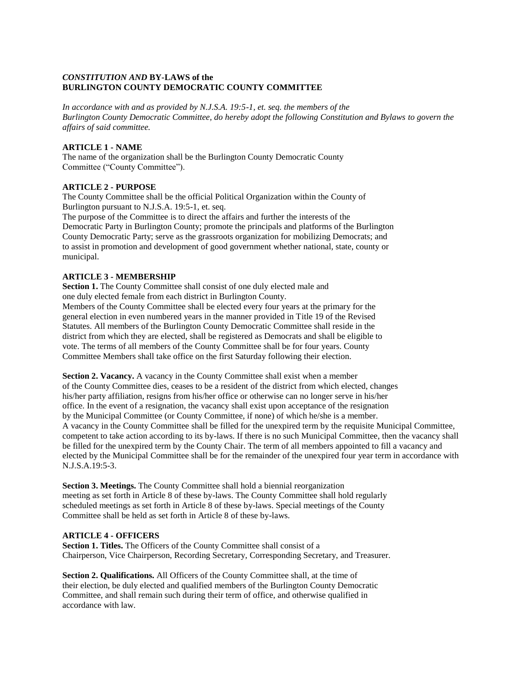# *CONSTITUTION AND* **BY-LAWS of the BURLINGTON COUNTY DEMOCRATIC COUNTY COMMITTEE**

*In accordance with and as provided by N.J.S.A. 19:5-1, et. seq. the members of the Burlington County Democratic Committee, do hereby adopt the following Constitution and Bylaws to govern the affairs of said committee.*

# **ARTICLE 1 - NAME**

The name of the organization shall be the Burlington County Democratic County Committee ("County Committee").

### **ARTICLE 2 - PURPOSE**

The County Committee shall be the official Political Organization within the County of Burlington pursuant to N.J.S.A. 19:5-1, et. seq.

The purpose of the Committee is to direct the affairs and further the interests of the Democratic Party in Burlington County; promote the principals and platforms of the Burlington County Democratic Party; serve as the grassroots organization for mobilizing Democrats; and to assist in promotion and development of good government whether national, state, county or municipal.

# **ARTICLE 3 - MEMBERSHIP**

Section 1. The County Committee shall consist of one duly elected male and one duly elected female from each district in Burlington County. Members of the County Committee shall be elected every four years at the primary for the

general election in even numbered years in the manner provided in Title 19 of the Revised Statutes. All members of the Burlington County Democratic Committee shall reside in the district from which they are elected, shall be registered as Democrats and shall be eligible to vote. The terms of all members of the County Committee shall be for four years. County Committee Members shall take office on the first Saturday following their election.

**Section 2. Vacancy.** A vacancy in the County Committee shall exist when a member of the County Committee dies, ceases to be a resident of the district from which elected, changes his/her party affiliation, resigns from his/her office or otherwise can no longer serve in his/her office. In the event of a resignation, the vacancy shall exist upon acceptance of the resignation by the Municipal Committee (or County Committee, if none) of which he/she is a member. A vacancy in the County Committee shall be filled for the unexpired term by the requisite Municipal Committee, competent to take action according to its by-laws. If there is no such Municipal Committee, then the vacancy shall be filled for the unexpired term by the County Chair. The term of all members appointed to fill a vacancy and elected by the Municipal Committee shall be for the remainder of the unexpired four year term in accordance with N.J.S.A.19:5-3.

**Section 3. Meetings.** The County Committee shall hold a biennial reorganization meeting as set forth in Article 8 of these by-laws. The County Committee shall hold regularly scheduled meetings as set forth in Article 8 of these by-laws. Special meetings of the County Committee shall be held as set forth in Article 8 of these by-laws.

# **ARTICLE 4 - OFFICERS**

**Section 1. Titles.** The Officers of the County Committee shall consist of a Chairperson, Vice Chairperson, Recording Secretary, Corresponding Secretary, and Treasurer.

**Section 2. Qualifications.** All Officers of the County Committee shall, at the time of their election, be duly elected and qualified members of the Burlington County Democratic Committee, and shall remain such during their term of office, and otherwise qualified in accordance with law.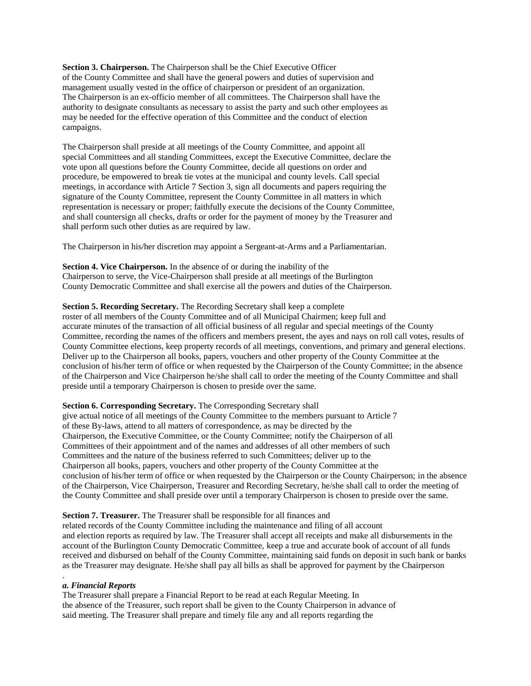**Section 3. Chairperson.** The Chairperson shall be the Chief Executive Officer of the County Committee and shall have the general powers and duties of supervision and management usually vested in the office of chairperson or president of an organization. The Chairperson is an ex-officio member of all committees. The Chairperson shall have the authority to designate consultants as necessary to assist the party and such other employees as may be needed for the effective operation of this Committee and the conduct of election campaigns.

The Chairperson shall preside at all meetings of the County Committee, and appoint all special Committees and all standing Committees, except the Executive Committee, declare the vote upon all questions before the County Committee, decide all questions on order and procedure, be empowered to break tie votes at the municipal and county levels*.* Call special meetings, in accordance with Article 7 Section 3, sign all documents and papers requiring the signature of the County Committee, represent the County Committee in all matters in which representation is necessary or proper; faithfully execute the decisions of the County Committee, and shall countersign all checks, drafts or order for the payment of money by the Treasurer and shall perform such other duties as are required by law.

The Chairperson in his/her discretion may appoint a Sergeant-at-Arms and a Parliamentarian.

**Section 4. Vice Chairperson.** In the absence of or during the inability of the Chairperson to serve, the Vice-Chairperson shall preside at all meetings of the Burlington County Democratic Committee and shall exercise all the powers and duties of the Chairperson.

# **Section 5. Recording Secretary.** The Recording Secretary shall keep a complete

roster of all members of the County Committee and of all Municipal Chairmen; keep full and accurate minutes of the transaction of all official business of all regular and special meetings of the County Committee, recording the names of the officers and members present, the ayes and nays on roll call votes, results of County Committee elections, keep property records of all meetings, conventions, and primary and general elections. Deliver up to the Chairperson all books, papers, vouchers and other property of the County Committee at the conclusion of his/her term of office or when requested by the Chairperson of the County Committee; in the absence of the Chairperson and Vice Chairperson he/she shall call to order the meeting of the County Committee and shall preside until a temporary Chairperson is chosen to preside over the same.

# **Section 6. Corresponding Secretary.** The Corresponding Secretary shall

give actual notice of all meetings of the County Committee to the members pursuant to Article 7 of these By-laws, attend to all matters of correspondence, as may be directed by the Chairperson, the Executive Committee, or the County Committee; notify the Chairperson of all Committees of their appointment and of the names and addresses of all other members of such Committees and the nature of the business referred to such Committees; deliver up to the Chairperson all books, papers, vouchers and other property of the County Committee at the conclusion of his/her term of office or when requested by the Chairperson or the County Chairperson; in the absence of the Chairperson, Vice Chairperson, Treasurer and Recording Secretary, he/she shall call to order the meeting of the County Committee and shall preside over until a temporary Chairperson is chosen to preside over the same.

### **Section 7. Treasurer.** The Treasurer shall be responsible for all finances and

related records of the County Committee including the maintenance and filing of all account and election reports as required by law. The Treasurer shall accept all receipts and make all disbursements in the account of the Burlington County Democratic Committee, keep a true and accurate book of account of all funds received and disbursed on behalf of the County Committee, maintaining said funds on deposit in such bank or banks as the Treasurer may designate. He/she shall pay all bills as shall be approved for payment by the Chairperson

### *a. Financial Reports*

.

The Treasurer shall prepare a Financial Report to be read at each Regular Meeting. In the absence of the Treasurer, such report shall be given to the County Chairperson in advance of said meeting. The Treasurer shall prepare and timely file any and all reports regarding the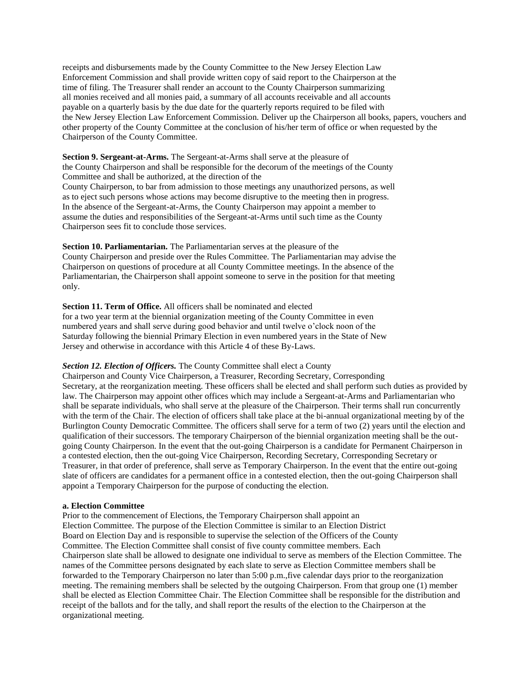receipts and disbursements made by the County Committee to the New Jersey Election Law Enforcement Commission and shall provide written copy of said report to the Chairperson at the time of filing. The Treasurer shall render an account to the County Chairperson summarizing all monies received and all monies paid, a summary of all accounts receivable and all accounts payable on a quarterly basis by the due date for the quarterly reports required to be filed with the New Jersey Election Law Enforcement Commission. Deliver up the Chairperson all books, papers, vouchers and other property of the County Committee at the conclusion of his/her term of office or when requested by the Chairperson of the County Committee.

**Section 9. Sergeant-at-Arms.** The Sergeant-at-Arms shall serve at the pleasure of the County Chairperson and shall be responsible for the decorum of the meetings of the County Committee and shall be authorized, at the direction of the

County Chairperson, to bar from admission to those meetings any unauthorized persons, as well as to eject such persons whose actions may become disruptive to the meeting then in progress. In the absence of the Sergeant-at-Arms, the County Chairperson may appoint a member to assume the duties and responsibilities of the Sergeant-at-Arms until such time as the County Chairperson sees fit to conclude those services.

**Section 10. Parliamentarian.** The Parliamentarian serves at the pleasure of the County Chairperson and preside over the Rules Committee. The Parliamentarian may advise the Chairperson on questions of procedure at all County Committee meetings. In the absence of the Parliamentarian, the Chairperson shall appoint someone to serve in the position for that meeting only.

**Section 11. Term of Office.** All officers shall be nominated and elected

for a two year term at the biennial organization meeting of the County Committee in even numbered years and shall serve during good behavior and until twelve o'clock noon of the Saturday following the biennial Primary Election in even numbered years in the State of New Jersey and otherwise in accordance with this Article 4 of these By-Laws.

*Section 12. Election of Officers.* The County Committee shall elect a County

Chairperson and County Vice Chairperson, a Treasurer, Recording Secretary, Corresponding Secretary, at the reorganization meeting. These officers shall be elected and shall perform such duties as provided by law. The Chairperson may appoint other offices which may include a Sergeant-at-Arms and Parliamentarian who shall be separate individuals, who shall serve at the pleasure of the Chairperson. Their terms shall run concurrently with the term of the Chair. The election of officers shall take place at the bi-annual organizational meeting by of the Burlington County Democratic Committee. The officers shall serve for a term of two (2) years until the election and qualification of their successors. The temporary Chairperson of the biennial organization meeting shall be the outgoing County Chairperson. In the event that the out-going Chairperson is a candidate for Permanent Chairperson in a contested election, then the out-going Vice Chairperson, Recording Secretary, Corresponding Secretary or Treasurer, in that order of preference, shall serve as Temporary Chairperson. In the event that the entire out-going slate of officers are candidates for a permanent office in a contested election, then the out-going Chairperson shall appoint a Temporary Chairperson for the purpose of conducting the election.

### **a. Election Committee**

Prior to the commencement of Elections, the Temporary Chairperson shall appoint an Election Committee. The purpose of the Election Committee is similar to an Election District Board on Election Day and is responsible to supervise the selection of the Officers of the County Committee. The Election Committee shall consist of five county committee members*.* Each Chairperson slate shall be allowed to designate one individual to serve as members of the Election Committee. The names of the Committee persons designated by each slate to serve as Election Committee members shall be forwarded to the Temporary Chairperson no later than 5:00 p.m.,five calendar days prior to the reorganization meeting. The remaining members shall be selected by the outgoing Chairperson. From that group one (1) member shall be elected as Election Committee Chair. The Election Committee shall be responsible for the distribution and receipt of the ballots and for the tally, and shall report the results of the election to the Chairperson at the organizational meeting.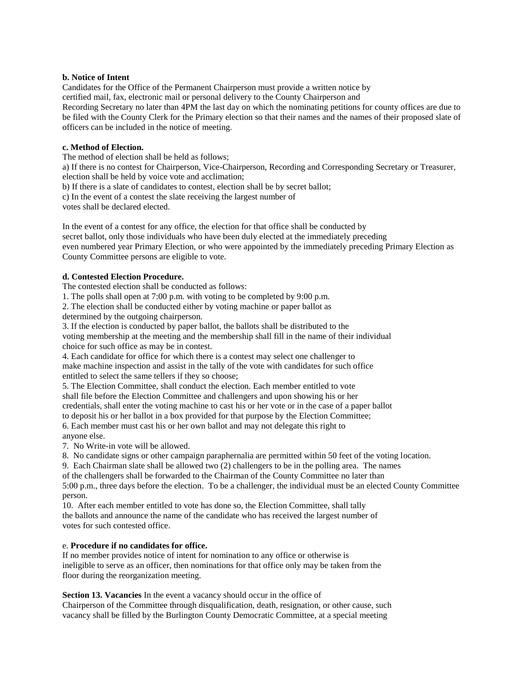### **b. Notice of Intent**

Candidates for the Office of the Permanent Chairperson must provide a written notice by certified mail, fax, electronic mail or personal delivery to the County Chairperson and Recording Secretary no later than 4PM the last day on which the nominating petitions for county offices are due to be filed with the County Clerk for the Primary election so that their names and the names of their proposed slate of officers can be included in the notice of meeting.

# **c. Method of Election.**

The method of election shall be held as follows;

a) If there is no contest for Chairperson, Vice-Chairperson, Recording and Corresponding Secretary or Treasurer, election shall be held by voice vote and acclimation;

b) If there is a slate of candidates to contest, election shall be by secret ballot;

c) In the event of a contest the slate receiving the largest number of

votes shall be declared elected.

In the event of a contest for any office, the election for that office shall be conducted by secret ballot, only those individuals who have been duly elected at the immediately preceding even numbered year Primary Election, or who were appointed by the immediately preceding Primary Election as County Committee persons are eligible to vote.

# **d. Contested Election Procedure.**

The contested election shall be conducted as follows:

1. The polls shall open at 7:00 p.m. with voting to be completed by 9:00 p.m.

2. The election shall be conducted either by voting machine or paper ballot as

determined by the outgoing chairperson.

3. If the election is conducted by paper ballot, the ballots shall be distributed to the voting membership at the meeting and the membership shall fill in the name of their individual choice for such office as may be in contest.

4. Each candidate for office for which there is a contest may select one challenger to make machine inspection and assist in the tally of the vote with candidates for such office entitled to select the same tellers if they so choose;

5. The Election Committee, shall conduct the election. Each member entitled to vote shall file before the Election Committee and challengers and upon showing his or her credentials, shall enter the voting machine to cast his or her vote or in the case of a paper ballot to deposit his or her ballot in a box provided for that purpose by the Election Committee; 6. Each member must cast his or her own ballot and may not delegate this right to anyone else.

7. No Write-in vote will be allowed.

8. No candidate signs or other campaign paraphernalia are permitted within 50 feet of the voting location.

9. Each Chairman slate shall be allowed two (2) challengers to be in the polling area. The names

of the challengers shall be forwarded to the Chairman of the County Committee no later than 5:00 p.m., three days before the election. To be a challenger, the individual must be an elected County Committee person.

10. After each member entitled to vote has done so, the Election Committee, shall tally the ballots and announce the name of the candidate who has received the largest number of votes for such contested office.

# e. **Procedure if no candidates for office.**

If no member provides notice of intent for nomination to any office or otherwise is ineligible to serve as an officer, then nominations for that office only may be taken from the floor during the reorganization meeting*.*

**Section 13. Vacancies** In the event a vacancy should occur in the office of Chairperson of the Committee through disqualification, death, resignation, or other cause, such vacancy shall be filled by the Burlington County Democratic Committee, at a special meeting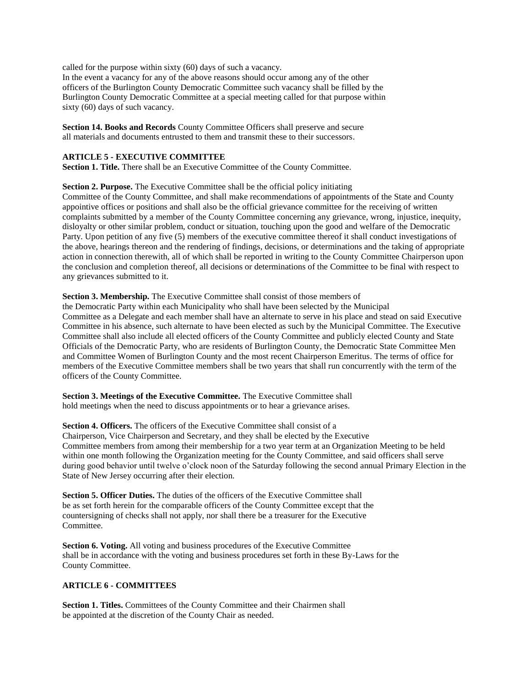called for the purpose within sixty (60) days of such a vacancy.

In the event a vacancy for any of the above reasons should occur among any of the other officers of the Burlington County Democratic Committee such vacancy shall be filled by the Burlington County Democratic Committee at a special meeting called for that purpose within sixty (60) days of such vacancy.

**Section 14. Books and Records** County Committee Officers shall preserve and secure all materials and documents entrusted to them and transmit these to their successors.

# **ARTICLE 5 - EXECUTIVE COMMITTEE**

**Section 1. Title.** There shall be an Executive Committee of the County Committee.

**Section 2. Purpose.** The Executive Committee shall be the official policy initiating

Committee of the County Committee, and shall make recommendations of appointments of the State and County appointive offices or positions and shall also be the official grievance committee for the receiving of written complaints submitted by a member of the County Committee concerning any grievance, wrong, injustice, inequity, disloyalty or other similar problem, conduct or situation, touching upon the good and welfare of the Democratic Party. Upon petition of any five (5) members of the executive committee thereof it shall conduct investigations of the above, hearings thereon and the rendering of findings, decisions, or determinations and the taking of appropriate action in connection therewith, all of which shall be reported in writing to the County Committee Chairperson upon the conclusion and completion thereof, all decisions or determinations of the Committee to be final with respect to any grievances submitted to it.

**Section 3. Membership.** The Executive Committee shall consist of those members of

the Democratic Party within each Municipality who shall have been selected by the Municipal Committee as a Delegate and each member shall have an alternate to serve in his place and stead on said Executive Committee in his absence, such alternate to have been elected as such by the Municipal Committee. The Executive Committee shall also include all elected officers of the County Committee and publicly elected County and State Officials of the Democratic Party, who are residents of Burlington County, the Democratic State Committee Men and Committee Women of Burlington County and the most recent Chairperson Emeritus. The terms of office for members of the Executive Committee members shall be two years that shall run concurrently with the term of the officers of the County Committee.

**Section 3. Meetings of the Executive Committee.** The Executive Committee shall hold meetings when the need to discuss appointments or to hear a grievance arises.

**Section 4. Officers.** The officers of the Executive Committee shall consist of a Chairperson, Vice Chairperson and Secretary, and they shall be elected by the Executive Committee members from among their membership for a two year term at an Organization Meeting to be held within one month following the Organization meeting for the County Committee, and said officers shall serve during good behavior until twelve o'clock noon of the Saturday following the second annual Primary Election in the State of New Jersey occurring after their election.

**Section 5. Officer Duties.** The duties of the officers of the Executive Committee shall be as set forth herein for the comparable officers of the County Committee except that the countersigning of checks shall not apply, nor shall there be a treasurer for the Executive Committee.

**Section 6. Voting.** All voting and business procedures of the Executive Committee shall be in accordance with the voting and business procedures set forth in these By-Laws for the County Committee.

# **ARTICLE 6 - COMMITTEES**

**Section 1. Titles.** Committees of the County Committee and their Chairmen shall be appointed at the discretion of the County Chair as needed.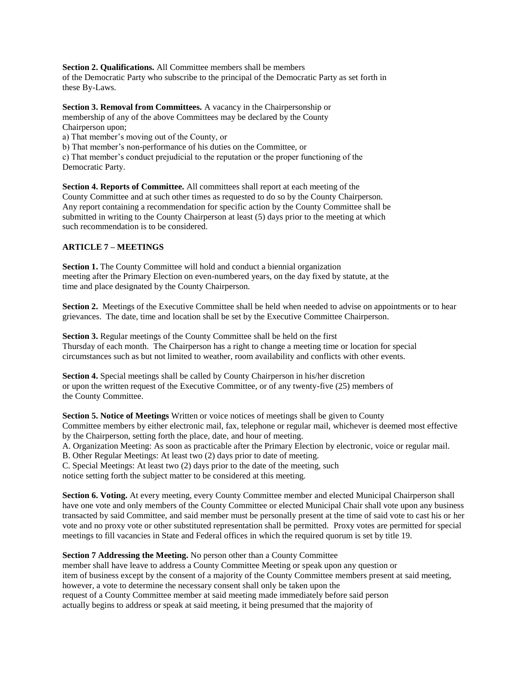**Section 2. Qualifications.** All Committee members shall be members of the Democratic Party who subscribe to the principal of the Democratic Party as set forth in these By-Laws.

**Section 3. Removal from Committees.** A vacancy in the Chairpersonship or membership of any of the above Committees may be declared by the County Chairperson upon; a) That member's moving out of the County, or

b) That member's non-performance of his duties on the Committee, or

c) That member's conduct prejudicial to the reputation or the proper functioning of the Democratic Party.

**Section 4. Reports of Committee.** All committees shall report at each meeting of the County Committee and at such other times as requested to do so by the County Chairperson. Any report containing a recommendation for specific action by the County Committee shall be submitted in writing to the County Chairperson at least (5) days prior to the meeting at which such recommendation is to be considered.

# **ARTICLE 7 – MEETINGS**

**Section 1.** The County Committee will hold and conduct a biennial organization meeting after the Primary Election on even-numbered years, on the day fixed by statute, at the time and place designated by the County Chairperson.

**Section 2.** Meetings of the Executive Committee shall be held when needed to advise on appointments or to hear grievances. The date, time and location shall be set by the Executive Committee Chairperson.

**Section 3.** Regular meetings of the County Committee shall be held on the first Thursday of each month. The Chairperson has a right to change a meeting time or location for special circumstances such as but not limited to weather, room availability and conflicts with other events.

**Section 4.** Special meetings shall be called by County Chairperson in his/her discretion or upon the written request of the Executive Committee, or of any twenty-five (25) members of the County Committee.

**Section 5. Notice of Meetings** Written or voice notices of meetings shall be given to County Committee members by either electronic mail, fax, telephone or regular mail, whichever is deemed most effective by the Chairperson, setting forth the place, date, and hour of meeting.

A. Organization Meeting: As soon as practicable after the Primary Election by electronic, voice or regular mail.

B. Other Regular Meetings: At least two (2) days prior to date of meeting.

C. Special Meetings: At least two (2) days prior to the date of the meeting, such

notice setting forth the subject matter to be considered at this meeting.

**Section 6. Voting.** At every meeting, every County Committee member and elected Municipal Chairperson shall have one vote and only members of the County Committee or elected Municipal Chair shall vote upon any business transacted by said Committee, and said member must be personally present at the time of said vote to cast his or her vote and no proxy vote or other substituted representation shall be permitted. Proxy votes are permitted for special meetings to fill vacancies in State and Federal offices in which the required quorum is set by title 19.

# **Section 7 Addressing the Meeting.** No person other than a County Committee

member shall have leave to address a County Committee Meeting or speak upon any question or item of business except by the consent of a majority of the County Committee members present at said meeting, however, a vote to determine the necessary consent shall only be taken upon the request of a County Committee member at said meeting made immediately before said person actually begins to address or speak at said meeting, it being presumed that the majority of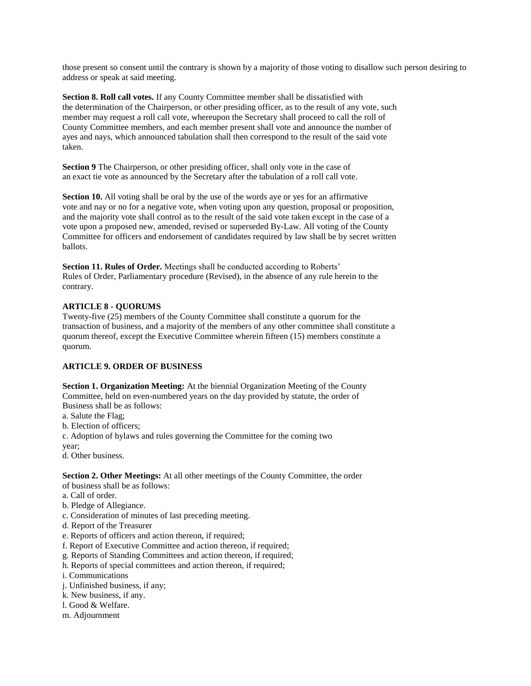those present so consent until the contrary is shown by a majority of those voting to disallow such person desiring to address or speak at said meeting.

**Section 8. Roll call votes.** If any County Committee member shall be dissatisfied with the determination of the Chairperson, or other presiding officer, as to the result of any vote, such member may request a roll call vote, whereupon the Secretary shall proceed to call the roll of County Committee members, and each member present shall vote and announce the number of ayes and nays, which announced tabulation shall then correspond to the result of the said vote taken.

**Section 9** The Chairperson, or other presiding officer, shall only vote in the case of an exact tie vote as announced by the Secretary after the tabulation of a roll call vote.

**Section 10.** All voting shall be oral by the use of the words aye or yes for an affirmative vote and nay or no for a negative vote, when voting upon any question, proposal or proposition, and the majority vote shall control as to the result of the said vote taken except in the case of a vote upon a proposed new, amended, revised or superseded By-Law. All voting of the County Committee for officers and endorsement of candidates required by law shall be by secret written ballots.

**Section 11. Rules of Order.** Meetings shall be conducted according to Roberts' Rules of Order, Parliamentary procedure (Revised), in the absence of any rule herein to the contrary.

### **ARTICLE 8 - QUORUMS**

Twenty-five (25) members of the County Committee shall constitute a quorum for the transaction of business, and a majority of the members of any other committee shall constitute a quorum thereof, except the Executive Committee wherein fifteen (15) members constitute a quorum.

### **ARTICLE 9. ORDER OF BUSINESS**

**Section 1. Organization Meeting:** At the biennial Organization Meeting of the County Committee, held on even-numbered years on the day provided by statute, the order of Business shall be as follows:

- a. Salute the Flag;
- b. Election of officers;

c. Adoption of bylaws and rules governing the Committee for the coming two year;

d. Other business.

# **Section 2. Other Meetings:** At all other meetings of the County Committee, the order

- of business shall be as follows:
- a. Call of order.
- b. Pledge of Allegiance.
- c. Consideration of minutes of last preceding meeting.
- d. Report of the Treasurer
- e. Reports of officers and action thereon, if required;
- f. Report of Executive Committee and action thereon, if required;
- g. Reports of Standing Committees and action thereon, if required;
- h. Reports of special committees and action thereon, if required;
- i. Communications
- j. Unfinished business, if any;
- k. New business, if any.
- l. Good & Welfare.
- m. Adjournment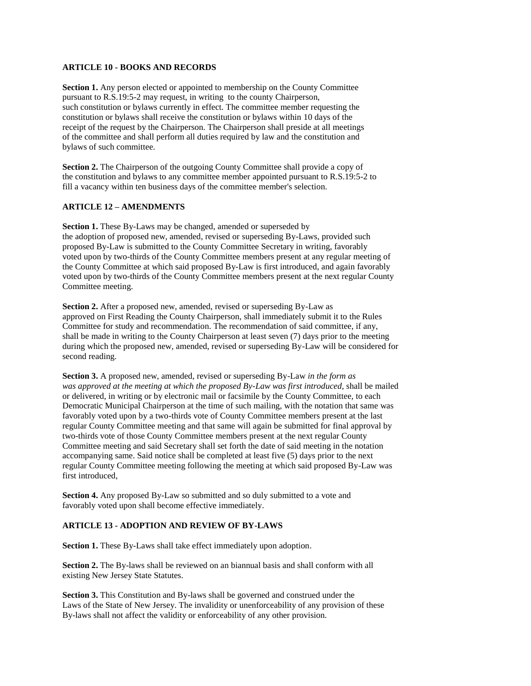# **ARTICLE 10 - BOOKS AND RECORDS**

**Section 1.** Any person elected or appointed to membership on the County Committee pursuant to R.S.19:5-2 may request, in writing to the county Chairperson, such constitution or bylaws currently in effect. The committee member requesting the constitution or bylaws shall receive the constitution or bylaws within 10 days of the receipt of the request by the Chairperson. The Chairperson shall preside at all meetings of the committee and shall perform all duties required by law and the constitution and bylaws of such committee.

**Section 2.** The Chairperson of the outgoing County Committee shall provide a copy of the constitution and bylaws to any committee member appointed pursuant to R.S.19:5-2 to fill a vacancy within ten business days of the committee member's selection.

### **ARTICLE 12 – AMENDMENTS**

**Section 1.** These By-Laws may be changed, amended or superseded by the adoption of proposed new, amended, revised or superseding By-Laws, provided such proposed By-Law is submitted to the County Committee Secretary in writing, favorably voted upon by two-thirds of the County Committee members present at any regular meeting of the County Committee at which said proposed By-Law is first introduced, and again favorably voted upon by two-thirds of the County Committee members present at the next regular County Committee meeting.

**Section 2.** After a proposed new, amended, revised or superseding By-Law as approved on First Reading the County Chairperson, shall immediately submit it to the Rules Committee for study and recommendation. The recommendation of said committee, if any, shall be made in writing to the County Chairperson at least seven (7) days prior to the meeting during which the proposed new, amended, revised or superseding By-Law will be considered for second reading.

**Section 3.** A proposed new, amended, revised or superseding By-Law *in the form as was approved at the meeting at which the proposed By-Law was first introduced, shall be mailed* or delivered, in writing or by electronic mail or facsimile by the County Committee, to each Democratic Municipal Chairperson at the time of such mailing, with the notation that same was favorably voted upon by a two-thirds vote of County Committee members present at the last regular County Committee meeting and that same will again be submitted for final approval by two-thirds vote of those County Committee members present at the next regular County Committee meeting and said Secretary shall set forth the date of said meeting in the notation accompanying same. Said notice shall be completed at least five (5) days prior to the next regular County Committee meeting following the meeting at which said proposed By-Law was first introduced,

**Section 4.** Any proposed By-Law so submitted and so duly submitted to a vote and favorably voted upon shall become effective immediately.

### **ARTICLE 13 - ADOPTION AND REVIEW OF BY-LAWS**

**Section 1.** These By-Laws shall take effect immediately upon adoption.

**Section 2.** The By-laws shall be reviewed on an biannual basis and shall conform with all existing New Jersey State Statutes.

**Section 3.** This Constitution and By-laws shall be governed and construed under the Laws of the State of New Jersey. The invalidity or unenforceability of any provision of these By-laws shall not affect the validity or enforceability of any other provision.